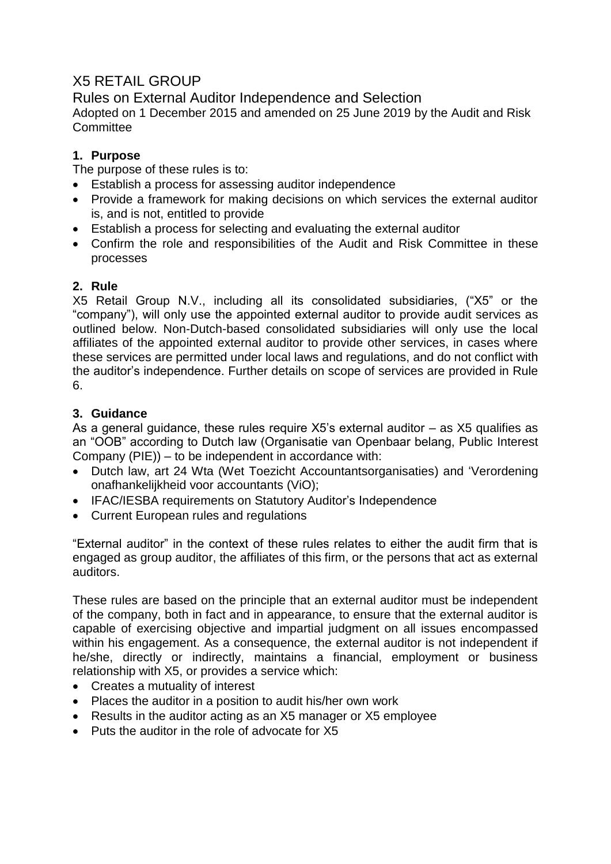# X5 RETAIL GROUP

Rules on External Auditor Independence and Selection Adopted on 1 December 2015 and amended on 25 June 2019 by the Audit and Risk **Committee** 

# **1. Purpose**

The purpose of these rules is to:

- Establish a process for assessing auditor independence
- Provide a framework for making decisions on which services the external auditor is, and is not, entitled to provide
- Establish a process for selecting and evaluating the external auditor
- Confirm the role and responsibilities of the Audit and Risk Committee in these processes

# **2. Rule**

X5 Retail Group N.V., including all its consolidated subsidiaries, ("X5" or the "company"), will only use the appointed external auditor to provide audit services as outlined below. Non-Dutch-based consolidated subsidiaries will only use the local affiliates of the appointed external auditor to provide other services, in cases where these services are permitted under local laws and regulations, and do not conflict with the auditor's independence. Further details on scope of services are provided in Rule 6.

# **3. Guidance**

As a general guidance, these rules require X5's external auditor – as X5 qualifies as an "OOB" according to Dutch law (Organisatie van Openbaar belang, Public Interest Company (PIE)) – to be independent in accordance with:

- Dutch law, art 24 Wta (Wet Toezicht Accountantsorganisaties) and 'Verordening onafhankelijkheid voor accountants (ViO);
- IFAC/IESBA requirements on Statutory Auditor's Independence
- Current European rules and regulations

"External auditor" in the context of these rules relates to either the audit firm that is engaged as group auditor, the affiliates of this firm, or the persons that act as external auditors.

These rules are based on the principle that an external auditor must be independent of the company, both in fact and in appearance, to ensure that the external auditor is capable of exercising objective and impartial judgment on all issues encompassed within his engagement. As a consequence, the external auditor is not independent if he/she, directly or indirectly, maintains a financial, employment or business relationship with X5, or provides a service which:

- Creates a mutuality of interest
- Places the auditor in a position to audit his/her own work
- Results in the auditor acting as an X5 manager or X5 employee
- Puts the auditor in the role of advocate for X5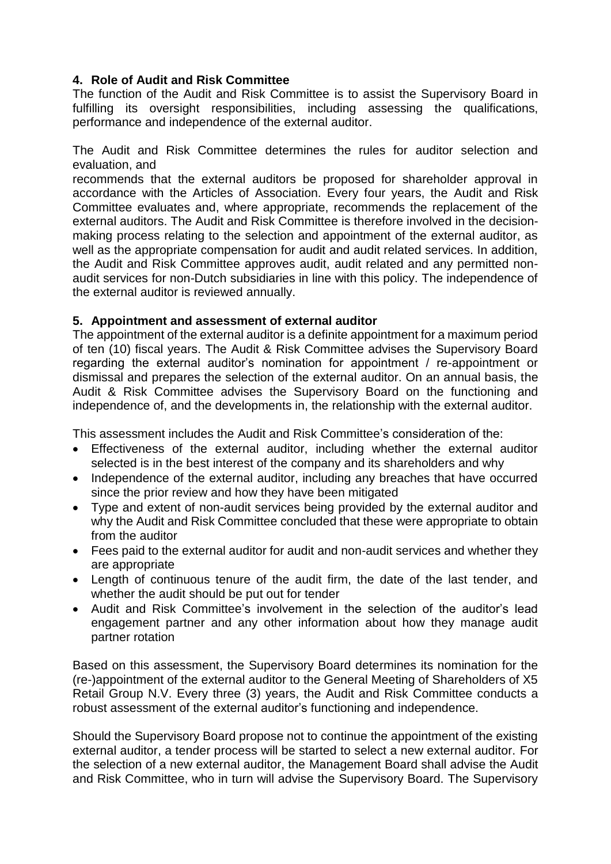## **4. Role of Audit and Risk Committee**

The function of the Audit and Risk Committee is to assist the Supervisory Board in fulfilling its oversight responsibilities, including assessing the qualifications, performance and independence of the external auditor.

The Audit and Risk Committee determines the rules for auditor selection and evaluation, and

recommends that the external auditors be proposed for shareholder approval in accordance with the Articles of Association. Every four years, the Audit and Risk Committee evaluates and, where appropriate, recommends the replacement of the external auditors. The Audit and Risk Committee is therefore involved in the decisionmaking process relating to the selection and appointment of the external auditor, as well as the appropriate compensation for audit and audit related services. In addition, the Audit and Risk Committee approves audit, audit related and any permitted nonaudit services for non-Dutch subsidiaries in line with this policy. The independence of the external auditor is reviewed annually.

### **5. Appointment and assessment of external auditor**

The appointment of the external auditor is a definite appointment for a maximum period of ten (10) fiscal years. The Audit & Risk Committee advises the Supervisory Board regarding the external auditor's nomination for appointment / re-appointment or dismissal and prepares the selection of the external auditor. On an annual basis, the Audit & Risk Committee advises the Supervisory Board on the functioning and independence of, and the developments in, the relationship with the external auditor.

This assessment includes the Audit and Risk Committee's consideration of the:

- Effectiveness of the external auditor, including whether the external auditor selected is in the best interest of the company and its shareholders and why
- Independence of the external auditor, including any breaches that have occurred since the prior review and how they have been mitigated
- Type and extent of non-audit services being provided by the external auditor and why the Audit and Risk Committee concluded that these were appropriate to obtain from the auditor
- Fees paid to the external auditor for audit and non-audit services and whether they are appropriate
- Length of continuous tenure of the audit firm, the date of the last tender, and whether the audit should be put out for tender
- Audit and Risk Committee's involvement in the selection of the auditor's lead engagement partner and any other information about how they manage audit partner rotation

Based on this assessment, the Supervisory Board determines its nomination for the (re-)appointment of the external auditor to the General Meeting of Shareholders of X5 Retail Group N.V. Every three (3) years, the Audit and Risk Committee conducts a robust assessment of the external auditor's functioning and independence.

Should the Supervisory Board propose not to continue the appointment of the existing external auditor, a tender process will be started to select a new external auditor. For the selection of a new external auditor, the Management Board shall advise the Audit and Risk Committee, who in turn will advise the Supervisory Board. The Supervisory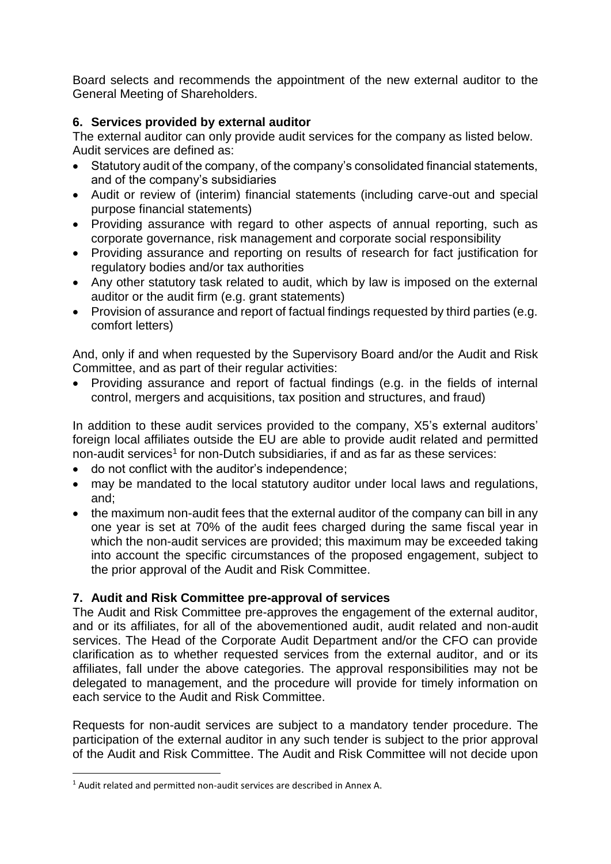Board selects and recommends the appointment of the new external auditor to the General Meeting of Shareholders.

## **6. Services provided by external auditor**

The external auditor can only provide audit services for the company as listed below. Audit services are defined as:

- Statutory audit of the company, of the company's consolidated financial statements, and of the company's subsidiaries
- Audit or review of (interim) financial statements (including carve-out and special purpose financial statements)
- Providing assurance with regard to other aspects of annual reporting, such as corporate governance, risk management and corporate social responsibility
- Providing assurance and reporting on results of research for fact justification for regulatory bodies and/or tax authorities
- Any other statutory task related to audit, which by law is imposed on the external auditor or the audit firm (e.g. grant statements)
- Provision of assurance and report of factual findings requested by third parties (e.g. comfort letters)

And, only if and when requested by the Supervisory Board and/or the Audit and Risk Committee, and as part of their regular activities:

• Providing assurance and report of factual findings (e.g. in the fields of internal control, mergers and acquisitions, tax position and structures, and fraud)

In addition to these audit services provided to the company, X5's external auditors' foreign local affiliates outside the EU are able to provide audit related and permitted non-audit services<sup>1</sup> for non-Dutch subsidiaries, if and as far as these services:

- do not conflict with the auditor's independence;
- may be mandated to the local statutory auditor under local laws and regulations, and;
- the maximum non-audit fees that the external auditor of the company can bill in any one year is set at 70% of the audit fees charged during the same fiscal year in which the non-audit services are provided; this maximum may be exceeded taking into account the specific circumstances of the proposed engagement, subject to the prior approval of the Audit and Risk Committee.

## **7. Audit and Risk Committee pre-approval of services**

The Audit and Risk Committee pre-approves the engagement of the external auditor, and or its affiliates, for all of the abovementioned audit, audit related and non-audit services. The Head of the Corporate Audit Department and/or the CFO can provide clarification as to whether requested services from the external auditor, and or its affiliates, fall under the above categories. The approval responsibilities may not be delegated to management, and the procedure will provide for timely information on each service to the Audit and Risk Committee.

Requests for non-audit services are subject to a mandatory tender procedure. The participation of the external auditor in any such tender is subject to the prior approval of the Audit and Risk Committee. The Audit and Risk Committee will not decide upon

1

<sup>1</sup> Audit related and permitted non-audit services are described in Annex A.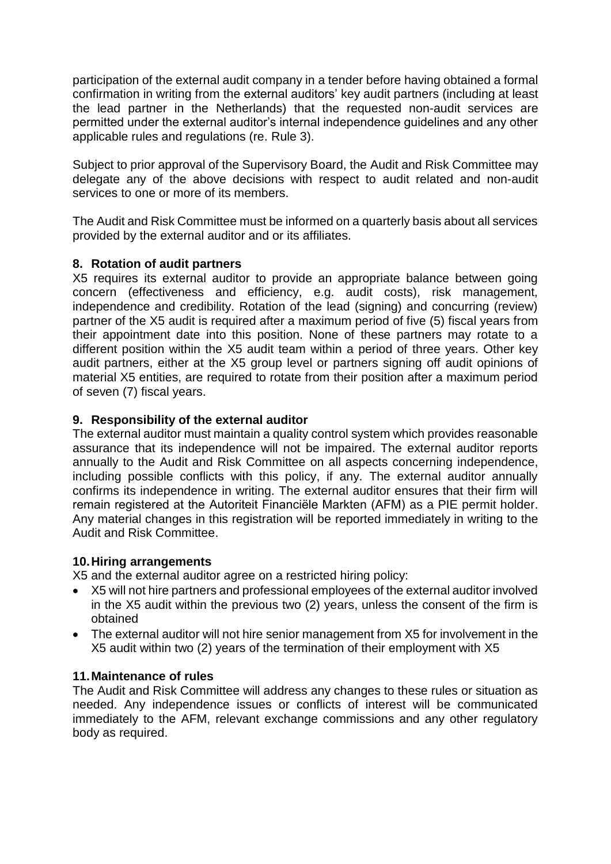participation of the external audit company in a tender before having obtained a formal confirmation in writing from the external auditors' key audit partners (including at least the lead partner in the Netherlands) that the requested non-audit services are permitted under the external auditor's internal independence guidelines and any other applicable rules and regulations (re. Rule 3).

Subject to prior approval of the Supervisory Board, the Audit and Risk Committee may delegate any of the above decisions with respect to audit related and non-audit services to one or more of its members.

The Audit and Risk Committee must be informed on a quarterly basis about all services provided by the external auditor and or its affiliates.

## **8. Rotation of audit partners**

X5 requires its external auditor to provide an appropriate balance between going concern (effectiveness and efficiency, e.g. audit costs), risk management, independence and credibility. Rotation of the lead (signing) and concurring (review) partner of the X5 audit is required after a maximum period of five (5) fiscal years from their appointment date into this position. None of these partners may rotate to a different position within the X5 audit team within a period of three years. Other key audit partners, either at the X5 group level or partners signing off audit opinions of material X5 entities, are required to rotate from their position after a maximum period of seven (7) fiscal years.

## **9. Responsibility of the external auditor**

The external auditor must maintain a quality control system which provides reasonable assurance that its independence will not be impaired. The external auditor reports annually to the Audit and Risk Committee on all aspects concerning independence, including possible conflicts with this policy, if any. The external auditor annually confirms its independence in writing. The external auditor ensures that their firm will remain registered at the Autoriteit Financiële Markten (AFM) as a PIE permit holder. Any material changes in this registration will be reported immediately in writing to the Audit and Risk Committee.

### **10.Hiring arrangements**

X5 and the external auditor agree on a restricted hiring policy:

- X5 will not hire partners and professional employees of the external auditor involved in the X5 audit within the previous two (2) years, unless the consent of the firm is obtained
- The external auditor will not hire senior management from X5 for involvement in the X5 audit within two (2) years of the termination of their employment with X5

### **11.Maintenance of rules**

The Audit and Risk Committee will address any changes to these rules or situation as needed. Any independence issues or conflicts of interest will be communicated immediately to the AFM, relevant exchange commissions and any other regulatory body as required.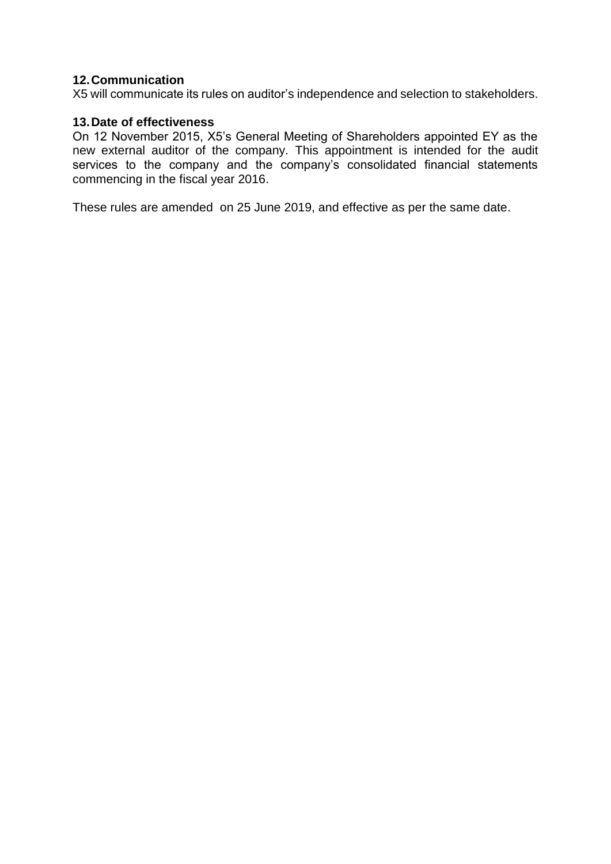### **12.Communication**

X5 will communicate its rules on auditor's independence and selection to stakeholders.

### **13.Date of effectiveness**

On 12 November 2015, X5's General Meeting of Shareholders appointed EY as the new external auditor of the company. This appointment is intended for the audit services to the company and the company's consolidated financial statements commencing in the fiscal year 2016.

These rules are amended on 25 June 2019, and effective as per the same date.